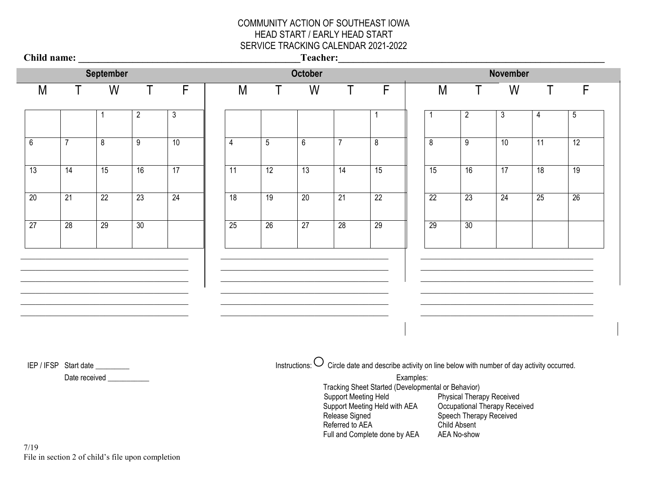| Child name:     |                 |                                                              |                 |                |                                                                                                                            |                 | Teacher:        |                                                           |                                                                                                                      |                |                                                                                     |                               |                 |                 |
|-----------------|-----------------|--------------------------------------------------------------|-----------------|----------------|----------------------------------------------------------------------------------------------------------------------------|-----------------|-----------------|-----------------------------------------------------------|----------------------------------------------------------------------------------------------------------------------|----------------|-------------------------------------------------------------------------------------|-------------------------------|-----------------|-----------------|
|                 |                 | <b>September</b>                                             |                 |                |                                                                                                                            |                 | <b>October</b>  |                                                           |                                                                                                                      |                |                                                                                     | <b>November</b>               |                 |                 |
| M               | T               | W                                                            | T               | F              | M                                                                                                                          | Τ               | W               | T                                                         | F                                                                                                                    |                | M<br>Τ                                                                              | W                             | Τ               | F               |
|                 |                 | 1                                                            | $\overline{2}$  | $\mathfrak{Z}$ |                                                                                                                            |                 |                 |                                                           | $\mathbf{1}$                                                                                                         | -1             | $\overline{2}$                                                                      | $\overline{3}$                | 4               | $\overline{5}$  |
| $6\,$           | $\overline{7}$  | 8                                                            | $\overline{9}$  | 10             | 4                                                                                                                          | 5               | $6\phantom{.}$  | $\overline{7}$                                            | 8                                                                                                                    | $\overline{8}$ | 9                                                                                   | $\overline{10}$               | $\overline{11}$ | 12              |
| 13              | $\overline{14}$ | $\overline{15}$                                              | $\overline{16}$ | 17             | $\overline{11}$                                                                                                            | 12              | 13              | 14                                                        | 15                                                                                                                   | 15             | 16                                                                                  | 17                            | 18              | 19              |
| $\overline{20}$ | 21              | $\overline{22}$                                              | $\overline{23}$ | 24             | $\overline{18}$                                                                                                            | $\overline{19}$ | $\overline{20}$ | 21                                                        | $\overline{22}$                                                                                                      | 22             | 23                                                                                  | 24                            | 25              | $\overline{26}$ |
| 27              | 28              | $\overline{29}$                                              | 30              |                | $\overline{25}$                                                                                                            | 26              | 27              | 28                                                        | $\overline{29}$                                                                                                      | 29             | 30                                                                                  |                               |                 |                 |
|                 |                 |                                                              |                 |                |                                                                                                                            |                 |                 |                                                           |                                                                                                                      |                |                                                                                     |                               |                 |                 |
|                 |                 |                                                              |                 |                |                                                                                                                            |                 |                 |                                                           |                                                                                                                      |                |                                                                                     |                               |                 |                 |
|                 |                 |                                                              |                 |                |                                                                                                                            |                 |                 |                                                           |                                                                                                                      |                |                                                                                     |                               |                 |                 |
|                 |                 | IEP / IFSP Start date _________<br>Date received ___________ |                 |                | Instructions: $\bigcup$ Circle date and describe activity on line below with number of day activity occurred.<br>Examples: |                 |                 |                                                           |                                                                                                                      |                |                                                                                     |                               |                 |                 |
|                 |                 |                                                              |                 |                |                                                                                                                            |                 |                 | Support Meeting Held<br>Release Signed<br>Referred to AEA | Tracking Sheet Started (Developmental or Behavior)<br>Support Meeting Held with AEA<br>Full and Complete done by AEA |                | Physical Therapy Received<br>Speech Therapy Received<br>Child Absent<br>AEA No-show | Occupational Therapy Received |                 |                 |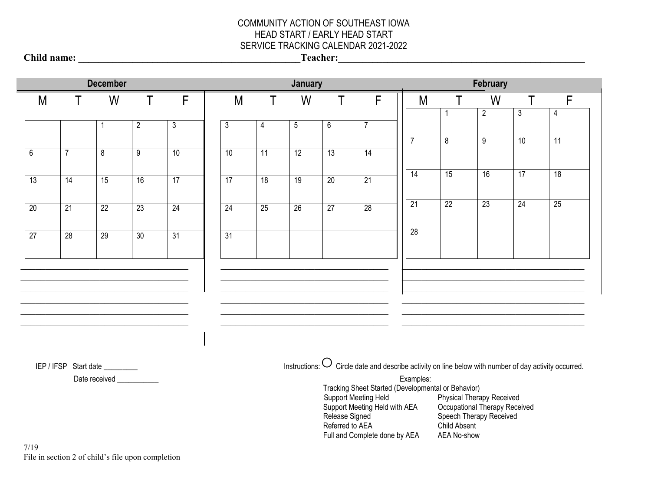**Child name: \_\_\_\_\_\_\_\_\_\_\_\_\_\_\_\_\_\_\_\_\_\_\_\_\_\_\_\_\_\_\_\_\_\_\_\_\_\_\_\_\_\_\_\_\_Teacher:\_\_\_\_\_\_\_\_\_\_\_\_\_\_\_\_\_\_\_\_\_\_\_\_\_\_\_\_\_\_\_\_\_\_\_\_\_\_\_\_\_\_\_\_\_\_\_\_\_\_** 

|                |                | <b>December</b>                |                |    | January |    |    |                 |                                                                                                         |                 |   | February        |                                                          |                |                 |  |  |  |
|----------------|----------------|--------------------------------|----------------|----|---------|----|----|-----------------|---------------------------------------------------------------------------------------------------------|-----------------|---|-----------------|----------------------------------------------------------|----------------|-----------------|--|--|--|
| M              |                | W                              | T              | F  | M       | Τ  | W  | Ť               | F                                                                                                       |                 | M | Τ               | W                                                        | Τ              | F               |  |  |  |
|                |                |                                |                |    |         |    |    |                 |                                                                                                         |                 |   |                 | $\overline{2}$                                           | $\overline{3}$ | 4               |  |  |  |
|                |                |                                | $\overline{2}$ | م  | 3       | 4  | 5  | 6               | $\overline{7}$                                                                                          |                 |   |                 |                                                          |                |                 |  |  |  |
| $\overline{6}$ | $\overline{7}$ | $\overline{8}$                 | $\overline{9}$ | 10 | 10      | 11 | 12 | 13              | 14                                                                                                      | $\overline{7}$  |   | 8               | 9                                                        | 10             | $\overline{11}$ |  |  |  |
|                |                |                                |                |    |         |    |    |                 |                                                                                                         |                 |   |                 |                                                          |                |                 |  |  |  |
| 13             | 14             | 15                             | 16             | 17 | 17      | 18 | 19 | 20              | 21                                                                                                      | 14              |   | 15              | 16                                                       | 17             | 18              |  |  |  |
|                |                |                                |                |    |         |    |    |                 |                                                                                                         |                 |   |                 |                                                          |                |                 |  |  |  |
| 20             | 21             | $\overline{22}$                | 23             | 24 | 24      | 25 | 26 | 27              | 28                                                                                                      | $\overline{21}$ |   | $\overline{22}$ | 23                                                       | 24             | 25              |  |  |  |
|                |                |                                |                |    |         |    |    |                 |                                                                                                         | 28              |   |                 |                                                          |                |                 |  |  |  |
| 27             | 28             | 29                             | 30             | 31 | 31      |    |    |                 |                                                                                                         |                 |   |                 |                                                          |                |                 |  |  |  |
|                |                |                                |                |    |         |    |    |                 |                                                                                                         |                 |   |                 |                                                          |                |                 |  |  |  |
|                |                |                                |                |    |         |    |    |                 |                                                                                                         |                 |   |                 |                                                          |                |                 |  |  |  |
|                |                |                                |                |    |         |    |    |                 |                                                                                                         |                 |   |                 |                                                          |                |                 |  |  |  |
|                |                |                                |                |    |         |    |    |                 |                                                                                                         |                 |   |                 |                                                          |                |                 |  |  |  |
|                |                |                                |                |    |         |    |    |                 |                                                                                                         |                 |   |                 |                                                          |                |                 |  |  |  |
|                |                |                                |                |    |         |    |    |                 |                                                                                                         |                 |   |                 |                                                          |                |                 |  |  |  |
|                |                |                                |                |    |         |    |    |                 |                                                                                                         |                 |   |                 |                                                          |                |                 |  |  |  |
|                |                | IEP / IFSP Start date ________ |                |    |         |    |    |                 | Instructions: $O$ Circle date and describe activity on line below with number of day activity occurred. |                 |   |                 |                                                          |                |                 |  |  |  |
|                |                | Date received ___________      |                |    |         |    |    |                 |                                                                                                         | Examples:       |   |                 |                                                          |                |                 |  |  |  |
|                |                |                                |                |    |         |    |    |                 | Tracking Sheet Started (Developmental or Behavior)<br>Support Meeting Held                              |                 |   |                 | <b>Physical Therapy Received</b>                         |                |                 |  |  |  |
|                |                |                                |                |    |         |    |    | Release Signed  | Support Meeting Held with AEA                                                                           |                 |   |                 | Occupational Therapy Received<br>Speech Therapy Received |                |                 |  |  |  |
|                |                |                                |                |    |         |    |    | Referred to AEA |                                                                                                         |                 |   | Child Absent    |                                                          |                |                 |  |  |  |
| 7/19           |                |                                |                |    |         |    |    |                 | Full and Complete done by AEA                                                                           |                 |   | AEA No-show     |                                                          |                |                 |  |  |  |
|                |                |                                |                |    |         |    |    |                 |                                                                                                         |                 |   |                 |                                                          |                |                 |  |  |  |

File in section 2 of child's file upon completion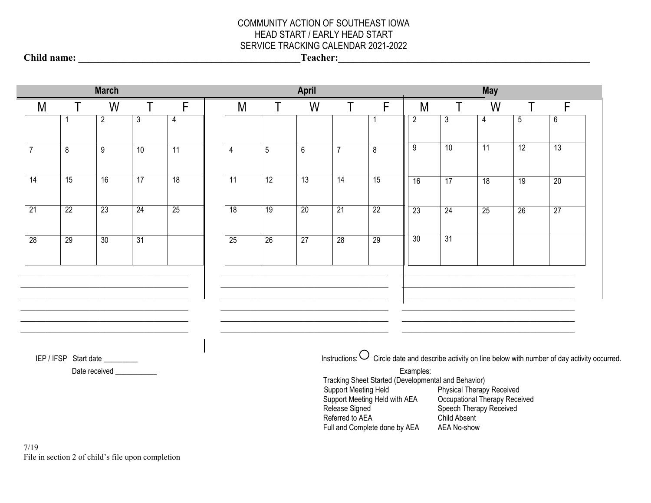**Child name: \_\_\_\_\_\_\_\_\_\_\_\_\_\_\_\_\_\_\_\_\_\_\_\_\_\_\_\_\_\_\_\_\_\_\_\_\_\_\_\_\_\_\_\_\_Teacher:\_\_\_\_\_\_\_\_\_\_\_\_\_\_\_\_\_\_\_\_\_\_\_\_\_\_\_\_\_\_\_\_\_\_\_\_\_\_\_\_\_\_\_\_\_\_\_\_\_\_\_** 

|                 |                 | <b>March</b>                   |                 |                 | April           |                                                                                                                                                                                                                                                                                                           |                 |                 |                 |                 |                | <b>May</b>      |                         |                 |                 |  |  |
|-----------------|-----------------|--------------------------------|-----------------|-----------------|-----------------|-----------------------------------------------------------------------------------------------------------------------------------------------------------------------------------------------------------------------------------------------------------------------------------------------------------|-----------------|-----------------|-----------------|-----------------|----------------|-----------------|-------------------------|-----------------|-----------------|--|--|
| M               |                 | W                              |                 | F               |                 | M                                                                                                                                                                                                                                                                                                         | Т               | W               |                 | F               | M              |                 | W                       |                 | F               |  |  |
|                 |                 | $\overline{2}$                 | 3               | 4               |                 |                                                                                                                                                                                                                                                                                                           |                 |                 |                 |                 | $\overline{2}$ | 3               | 4                       | $5\phantom{.0}$ | 6               |  |  |
| $\overline{7}$  | 8               | 9                              | $\overline{10}$ | 11              | 4               |                                                                                                                                                                                                                                                                                                           | 5               | $6\,$           | $\overline{7}$  | 8               | 9              | $\overline{10}$ | $\overline{11}$         | 12              | $\overline{13}$ |  |  |
| $\overline{14}$ | $\overline{15}$ | 16                             | $\overline{17}$ | $\overline{18}$ | $\overline{11}$ |                                                                                                                                                                                                                                                                                                           | $\overline{12}$ | 13              | $\overline{14}$ | $\overline{15}$ | 16             | 17              | 18                      | 19              | 20              |  |  |
| 21              | $\overline{22}$ | 23                             | 24              | 25              | 18              |                                                                                                                                                                                                                                                                                                           | 19              | 20              | 21              | 22              | 23             | 24              | 25                      | 26              | 27              |  |  |
| $\overline{28}$ | $\overline{29}$ | $\overline{30}$                | $\overline{31}$ |                 | $\overline{25}$ |                                                                                                                                                                                                                                                                                                           | $\overline{26}$ | $\overline{27}$ | 28              | 29              | 30             | 31              |                         |                 |                 |  |  |
|                 |                 |                                |                 |                 |                 |                                                                                                                                                                                                                                                                                                           |                 |                 |                 |                 |                |                 |                         |                 |                 |  |  |
|                 |                 |                                |                 |                 |                 |                                                                                                                                                                                                                                                                                                           |                 |                 |                 |                 |                |                 |                         |                 |                 |  |  |
|                 |                 |                                |                 |                 |                 |                                                                                                                                                                                                                                                                                                           |                 |                 |                 |                 |                |                 |                         |                 |                 |  |  |
|                 |                 | IEP / IFSP Start date ________ |                 |                 |                 |                                                                                                                                                                                                                                                                                                           |                 |                 |                 |                 |                |                 |                         |                 |                 |  |  |
|                 |                 | Date received ____________     |                 |                 |                 | Instructions: $\bigcirc$ Circle date and describe activity on line below with number of day activity occurred.<br>Examples:<br>Tracking Sheet Started (Developmental and Behavior)<br>Physical Therapy Received<br>Support Meeting Held<br>Support Meeting Held with AEA<br>Occupational Therapy Received |                 |                 |                 |                 |                |                 |                         |                 |                 |  |  |
|                 |                 |                                |                 |                 |                 |                                                                                                                                                                                                                                                                                                           |                 |                 | Release Signed  |                 |                |                 | Speech Therapy Received |                 |                 |  |  |

Referred to AEA Child Absent<br>Full and Complete done by AEA AEA No-show

Full and Complete done by AEA